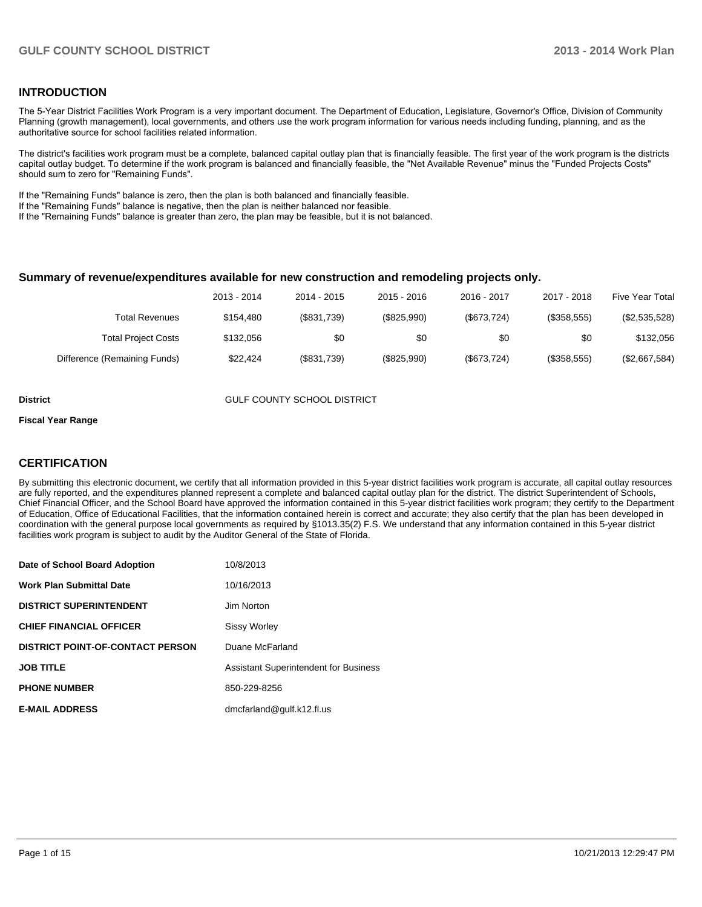## **INTRODUCTION**

The 5-Year District Facilities Work Program is a very important document. The Department of Education, Legislature, Governor's Office, Division of Community Planning (growth management), local governments, and others use the work program information for various needs including funding, planning, and as the authoritative source for school facilities related information.

The district's facilities work program must be a complete, balanced capital outlay plan that is financially feasible. The first year of the work program is the districts capital outlay budget. To determine if the work program is balanced and financially feasible, the "Net Available Revenue" minus the "Funded Projects Costs" should sum to zero for "Remaining Funds".

If the "Remaining Funds" balance is zero, then the plan is both balanced and financially feasible.

If the "Remaining Funds" balance is negative, then the plan is neither balanced nor feasible.

If the "Remaining Funds" balance is greater than zero, the plan may be feasible, but it is not balanced.

#### **Summary of revenue/expenditures available for new construction and remodeling projects only.**

|                              | 2013 - 2014 | 2014 - 2015 | 2015 - 2016 | 2016 - 2017 | 2017 - 2018 | <b>Five Year Total</b> |
|------------------------------|-------------|-------------|-------------|-------------|-------------|------------------------|
| <b>Total Revenues</b>        | \$154.480   | (\$831,739) | (\$825,990) | (\$673,724) | (\$358,555) | (\$2,535,528)          |
| <b>Total Project Costs</b>   | \$132,056   | \$0         | \$0         | \$0         | \$0         | \$132,056              |
| Difference (Remaining Funds) | \$22.424    | (\$831,739) | (\$825,990) | (\$673,724) | (\$358,555) | (\$2,667,584)          |

**District COUNTY SCHOOL DISTRICT** 

#### **Fiscal Year Range**

## **CERTIFICATION**

By submitting this electronic document, we certify that all information provided in this 5-year district facilities work program is accurate, all capital outlay resources are fully reported, and the expenditures planned represent a complete and balanced capital outlay plan for the district. The district Superintendent of Schools, Chief Financial Officer, and the School Board have approved the information contained in this 5-year district facilities work program; they certify to the Department of Education, Office of Educational Facilities, that the information contained herein is correct and accurate; they also certify that the plan has been developed in coordination with the general purpose local governments as required by §1013.35(2) F.S. We understand that any information contained in this 5-year district facilities work program is subject to audit by the Auditor General of the State of Florida.

| Date of School Board Adoption           | 10/8/2013                                    |
|-----------------------------------------|----------------------------------------------|
| <b>Work Plan Submittal Date</b>         | 10/16/2013                                   |
| <b>DISTRICT SUPERINTENDENT</b>          | Jim Norton                                   |
| <b>CHIEF FINANCIAL OFFICER</b>          | <b>Sissy Worley</b>                          |
| <b>DISTRICT POINT-OF-CONTACT PERSON</b> | Duane McFarland                              |
| <b>JOB TITLE</b>                        | <b>Assistant Superintendent for Business</b> |
| <b>PHONE NUMBER</b>                     | 850-229-8256                                 |
| <b>E-MAIL ADDRESS</b>                   | dmcfarland@qulf.k12.fl.us                    |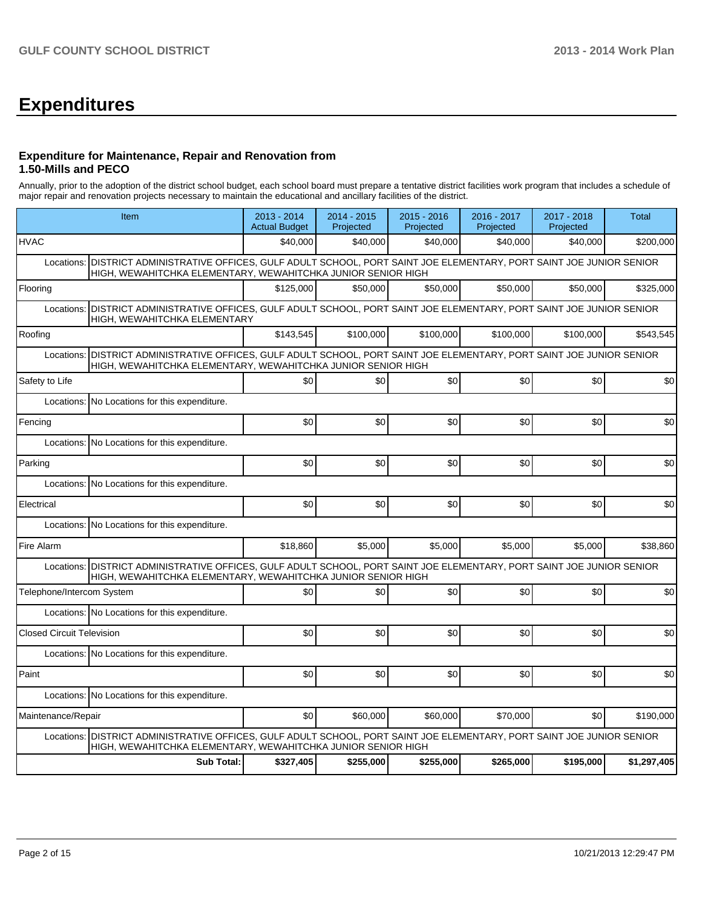## **Expenditures**

## **Expenditure for Maintenance, Repair and Renovation from 1.50-Mills and PECO**

Annually, prior to the adoption of the district school budget, each school board must prepare a tentative district facilities work program that includes a schedule of major repair and renovation projects necessary to maintain the educational and ancillary facilities of the district.

| Item                                                                                                                                                                                      |                   | 2013 - 2014<br><b>Actual Budget</b> | 2014 - 2015<br>Projected | 2015 - 2016<br>Projected | 2016 - 2017<br>Projected | 2017 - 2018<br>Projected | Total       |
|-------------------------------------------------------------------------------------------------------------------------------------------------------------------------------------------|-------------------|-------------------------------------|--------------------------|--------------------------|--------------------------|--------------------------|-------------|
| <b>HVAC</b>                                                                                                                                                                               |                   | \$40,000                            | \$40,000                 | \$40,000                 | \$40,000                 | \$40,000                 | \$200,000   |
| DISTRICT ADMINISTRATIVE OFFICES, GULF ADULT SCHOOL, PORT SAINT JOE ELEMENTARY, PORT SAINT JOE JUNIOR SENIOR<br>Locations:<br>HIGH, WEWAHITCHKA ELEMENTARY, WEWAHITCHKA JUNIOR SENIOR HIGH |                   |                                     |                          |                          |                          |                          |             |
| Flooring                                                                                                                                                                                  |                   | \$125,000                           | \$50,000                 | \$50,000                 | \$50,000                 | \$50,000                 | \$325,000   |
| DISTRICT ADMINISTRATIVE OFFICES, GULF ADULT SCHOOL, PORT SAINT JOE ELEMENTARY, PORT SAINT JOE JUNIOR SENIOR<br>Locations:<br>HIGH, WEWAHITCHKA ELEMENTARY                                 |                   |                                     |                          |                          |                          |                          |             |
| Roofing                                                                                                                                                                                   |                   | \$143,545                           | \$100,000                | \$100,000                | \$100,000                | \$100,000                | \$543,545   |
| DISTRICT ADMINISTRATIVE OFFICES, GULF ADULT SCHOOL, PORT SAINT JOE ELEMENTARY, PORT SAINT JOE JUNIOR SENIOR<br>Locations:<br>HIGH, WEWAHITCHKA ELEMENTARY, WEWAHITCHKA JUNIOR SENIOR HIGH |                   |                                     |                          |                          |                          |                          |             |
| Safety to Life                                                                                                                                                                            |                   | \$0                                 | \$0                      | \$0                      | \$0                      | \$0                      | \$0         |
| Locations:<br>No Locations for this expenditure.                                                                                                                                          |                   |                                     |                          |                          |                          |                          |             |
| Fencing                                                                                                                                                                                   |                   | \$0                                 | \$0                      | \$0                      | \$0                      | \$0                      | \$0         |
| Locations:<br>No Locations for this expenditure.                                                                                                                                          |                   |                                     |                          |                          |                          |                          |             |
| Parking                                                                                                                                                                                   |                   | \$0                                 | \$0                      | \$0                      | \$0                      | \$0                      | \$0         |
| Locations:<br>No Locations for this expenditure.                                                                                                                                          |                   |                                     |                          |                          |                          |                          |             |
| Electrical                                                                                                                                                                                |                   | \$0                                 | \$0                      | \$0                      | \$0                      | \$0                      | \$0         |
| Locations:<br>No Locations for this expenditure.                                                                                                                                          |                   |                                     |                          |                          |                          |                          |             |
| Fire Alarm                                                                                                                                                                                |                   | \$18,860                            | \$5,000                  | \$5,000                  | \$5,000                  | \$5,000                  | \$38,860    |
| Locations: DISTRICT ADMINISTRATIVE OFFICES, GULF ADULT SCHOOL, PORT SAINT JOE ELEMENTARY, PORT SAINT JOE JUNIOR SENIOR<br>HIGH, WEWAHITCHKA ELEMENTARY, WEWAHITCHKA JUNIOR SENIOR HIGH    |                   |                                     |                          |                          |                          |                          |             |
| Telephone/Intercom System                                                                                                                                                                 |                   | \$0                                 | \$0                      | \$0                      | \$0                      | \$0                      | \$0         |
| Locations: No Locations for this expenditure.                                                                                                                                             |                   |                                     |                          |                          |                          |                          |             |
| <b>Closed Circuit Television</b>                                                                                                                                                          |                   | \$0                                 | \$0                      | \$0                      | \$0                      | \$0                      | \$0         |
| Locations: No Locations for this expenditure.                                                                                                                                             |                   |                                     |                          |                          |                          |                          |             |
| Paint                                                                                                                                                                                     |                   | \$0                                 | \$0                      | \$0                      | \$0                      | \$0                      | \$0         |
| Locations: No Locations for this expenditure.                                                                                                                                             |                   |                                     |                          |                          |                          |                          |             |
| Maintenance/Repair                                                                                                                                                                        |                   | \$0                                 | \$60,000                 | \$60,000                 | \$70,000                 | \$0                      | \$190,000   |
| DISTRICT ADMINISTRATIVE OFFICES, GULF ADULT SCHOOL, PORT SAINT JOE ELEMENTARY, PORT SAINT JOE JUNIOR SENIOR<br>Locations:<br>HIGH, WEWAHITCHKA ELEMENTARY, WEWAHITCHKA JUNIOR SENIOR HIGH |                   |                                     |                          |                          |                          |                          |             |
|                                                                                                                                                                                           | <b>Sub Total:</b> | \$327,405                           | \$255,000                | \$255,000                | \$265,000                | \$195,000                | \$1,297,405 |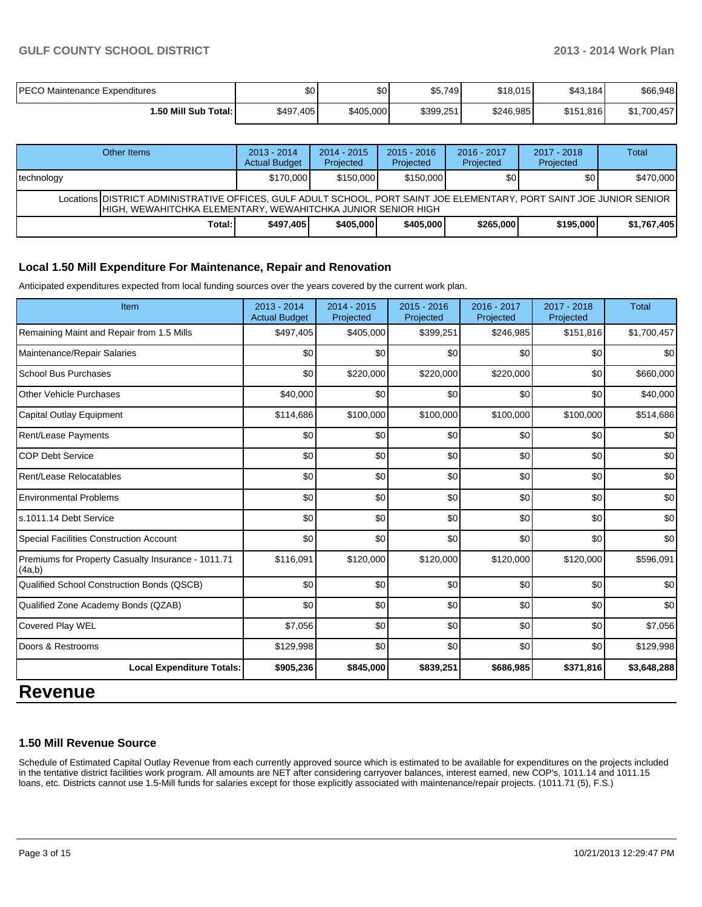| PECO Maintenance Expenditures | \$0       | \$0       | \$5,749   | \$18,015  | \$43,184  | \$66,948    |
|-------------------------------|-----------|-----------|-----------|-----------|-----------|-------------|
| 1.50 Mill Sub Total: I        | \$497,405 | \$405,000 | \$399,251 | \$246,985 | \$151,816 | \$1,700,457 |

| Other Items                                                                                                                                                                              | $2013 - 2014$<br><b>Actual Budget</b> | $2014 - 2015$<br>Projected | $2015 - 2016$<br>Projected | $2016 - 2017$<br>Projected | $2017 - 2018$<br>Projected | Total       |  |  |  |
|------------------------------------------------------------------------------------------------------------------------------------------------------------------------------------------|---------------------------------------|----------------------------|----------------------------|----------------------------|----------------------------|-------------|--|--|--|
| technology                                                                                                                                                                               | \$170,000                             | \$150,000                  | \$150,000                  | \$٥                        | <b>\$01</b>                | \$470,000   |  |  |  |
| Locations DISTRICT ADMINISTRATIVE OFFICES, GULF ADULT SCHOOL, PORT SAINT JOE ELEMENTARY, PORT SAINT JOE JUNIOR SENIOR<br>IHIGH. WEWAHITCHKA ELEMENTARY. WEWAHITCHKA JUNIOR SENIOR HIGH I |                                       |                            |                            |                            |                            |             |  |  |  |
| Total:                                                                                                                                                                                   | \$497.405                             | \$405,000                  | \$405,000                  | \$265,000                  | \$195,000                  | \$1,767,405 |  |  |  |

## **Local 1.50 Mill Expenditure For Maintenance, Repair and Renovation**

Anticipated expenditures expected from local funding sources over the years covered by the current work plan.

| Item                                                         | 2013 - 2014<br><b>Actual Budget</b> | 2014 - 2015<br>Projected | $2015 - 2016$<br>Projected | 2016 - 2017<br>Projected | 2017 - 2018<br>Projected | <b>Total</b> |
|--------------------------------------------------------------|-------------------------------------|--------------------------|----------------------------|--------------------------|--------------------------|--------------|
| Remaining Maint and Repair from 1.5 Mills                    | \$497,405                           | \$405,000                | \$399,251                  | \$246,985                | \$151,816                | \$1,700,457  |
| Maintenance/Repair Salaries                                  | \$0                                 | \$0                      | \$0                        | \$0                      | \$0                      | \$0          |
| <b>School Bus Purchases</b>                                  | \$0                                 | \$220,000                | \$220,000                  | \$220,000                | \$0                      | \$660,000    |
| <b>Other Vehicle Purchases</b>                               | \$40,000                            | \$0                      | \$0                        | \$0                      | \$0                      | \$40,000     |
| Capital Outlay Equipment                                     | \$114,686                           | \$100,000                | \$100,000                  | \$100,000                | \$100,000                | \$514,686    |
| Rent/Lease Payments                                          | \$0                                 | \$0                      | \$0                        | \$0                      | \$0                      | \$0          |
| <b>COP Debt Service</b>                                      | \$0                                 | \$0                      | \$0                        | \$0                      | \$0                      | \$0          |
| Rent/Lease Relocatables                                      | \$0                                 | \$0                      | \$0                        | \$0                      | \$0                      | \$0          |
| <b>Environmental Problems</b>                                | \$0                                 | \$0                      | \$0                        | \$0                      | \$0                      | \$0          |
| ls.1011.14 Debt Service                                      | \$0                                 | \$0                      | \$0                        | \$0                      | \$0                      | \$0          |
| <b>Special Facilities Construction Account</b>               | \$0                                 | \$0                      | \$0                        | \$0                      | \$0                      | \$0          |
| Premiums for Property Casualty Insurance - 1011.71<br>(4a,b) | \$116,091                           | \$120,000                | \$120,000                  | \$120,000                | \$120,000                | \$596,091    |
| Qualified School Construction Bonds (QSCB)                   | \$0                                 | \$0                      | \$0                        | \$0                      | \$0                      | \$0          |
| Qualified Zone Academy Bonds (QZAB)                          | \$0                                 | \$0                      | \$0                        | \$0                      | \$0                      | \$0          |
| Covered Play WEL                                             | \$7,056                             | \$0                      | \$0                        | \$0                      | \$0                      | \$7,056      |
| Doors & Restrooms                                            | \$129,998                           | \$0                      | \$0                        | \$0                      | \$0                      | \$129,998    |
| <b>Local Expenditure Totals:</b>                             | \$905,236                           | \$845,000                | \$839,251                  | \$686,985                | \$371,816                | \$3,648,288  |

## **Revenue**

### **1.50 Mill Revenue Source**

Schedule of Estimated Capital Outlay Revenue from each currently approved source which is estimated to be available for expenditures on the projects included in the tentative district facilities work program. All amounts are NET after considering carryover balances, interest earned, new COP's, 1011.14 and 1011.15 loans, etc. Districts cannot use 1.5-Mill funds for salaries except for those explicitly associated with maintenance/repair projects. (1011.71 (5), F.S.)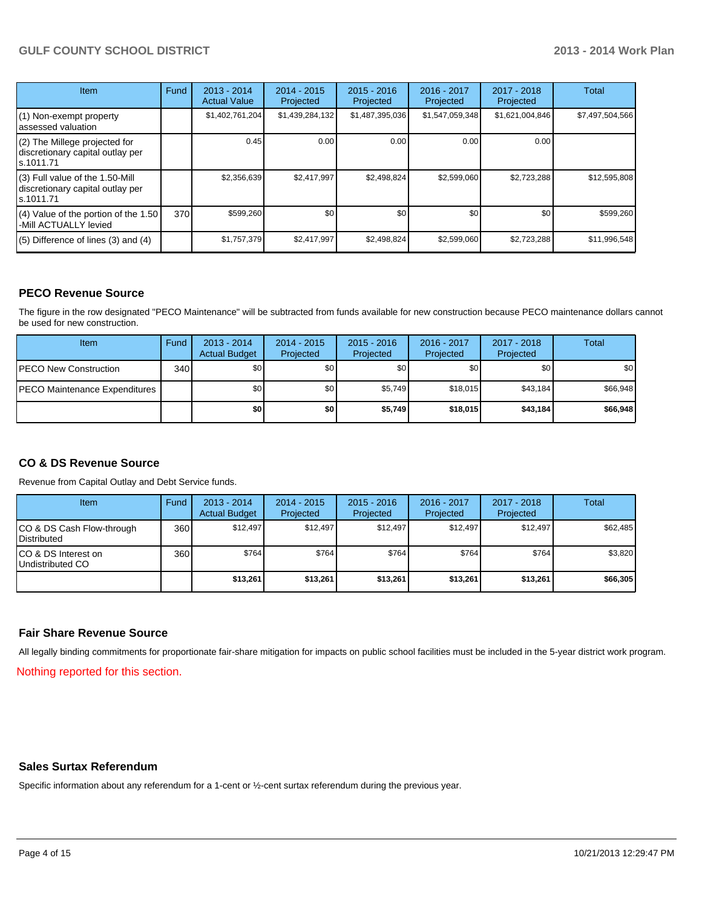## **GULF COUNTY SCHOOL DISTRICT 2013 - 2014 Work Plan**

| <b>Item</b>                                                                       | Fund | $2013 - 2014$<br><b>Actual Value</b> | $2014 - 2015$<br>Projected | $2015 - 2016$<br>Projected | 2016 - 2017<br>Projected | 2017 - 2018<br>Projected | Total           |
|-----------------------------------------------------------------------------------|------|--------------------------------------|----------------------------|----------------------------|--------------------------|--------------------------|-----------------|
| (1) Non-exempt property<br>lassessed valuation                                    |      | \$1,402,761,204                      | \$1,439,284,132            | \$1,487,395,036            | \$1,547,059,348          | \$1,621,004,846          | \$7,497,504,566 |
| (2) The Millege projected for<br>discretionary capital outlay per<br>ls.1011.71   |      | 0.45                                 | 0.00                       | 0.00                       | 0.00                     | 0.00                     |                 |
| (3) Full value of the 1.50-Mill<br>discretionary capital outlay per<br>ls.1011.71 |      | \$2,356,639                          | \$2,417,997                | \$2,498,824                | \$2,599,060              | \$2,723,288              | \$12,595,808    |
| (4) Value of the portion of the 1.50<br>-Mill ACTUALLY levied                     | 370  | \$599,260                            | \$0                        | \$0                        | \$0                      | \$0                      | \$599,260       |
| $(5)$ Difference of lines $(3)$ and $(4)$                                         |      | \$1,757,379                          | \$2,417,997                | \$2,498,824                | \$2,599,060              | \$2,723,288              | \$11,996,548    |

## **PECO Revenue Source**

The figure in the row designated "PECO Maintenance" will be subtracted from funds available for new construction because PECO maintenance dollars cannot be used for new construction.

| Item                                 | Fund | $2013 - 2014$<br><b>Actual Budget</b> | $2014 - 2015$<br>Projected | $2015 - 2016$<br>Projected | 2016 - 2017<br>Projected | 2017 - 2018<br>Projected | Total            |
|--------------------------------------|------|---------------------------------------|----------------------------|----------------------------|--------------------------|--------------------------|------------------|
| <b>PECO New Construction</b>         | 340  | \$0                                   | \$0                        | \$0                        | \$0 <sub>1</sub>         | \$0                      | \$0 <sub>1</sub> |
| <b>PECO Maintenance Expenditures</b> |      | \$0                                   | \$0 <sub>1</sub>           | \$5,749                    | \$18,015                 | \$43,184                 | \$66,948         |
|                                      |      | \$0                                   | \$0                        | \$5,749                    | \$18,015                 | \$43,184                 | \$66,948         |

### **CO & DS Revenue Source**

Revenue from Capital Outlay and Debt Service funds.

| <b>Item</b>                                        | Fund | $2013 - 2014$<br><b>Actual Budget</b> | $2014 - 2015$<br>Projected | $2015 - 2016$<br>Projected | $2016 - 2017$<br>Projected | 2017 - 2018<br>Projected | Total    |
|----------------------------------------------------|------|---------------------------------------|----------------------------|----------------------------|----------------------------|--------------------------|----------|
| ICO & DS Cash Flow-through<br><b>I</b> Distributed | 360  | \$12.497                              | \$12,497                   | \$12.497                   | \$12,497                   | \$12,497                 | \$62,485 |
| ICO & DS Interest on<br>Undistributed CO           | 360  | \$764                                 | \$764                      | \$764                      | \$764                      | \$764                    | \$3,820  |
|                                                    |      | \$13,261                              | \$13,261                   | \$13,261                   | \$13,261                   | \$13,261                 | \$66,305 |

#### **Fair Share Revenue Source**

All legally binding commitments for proportionate fair-share mitigation for impacts on public school facilities must be included in the 5-year district work program.

Nothing reported for this section.

## **Sales Surtax Referendum**

Specific information about any referendum for a 1-cent or ½-cent surtax referendum during the previous year.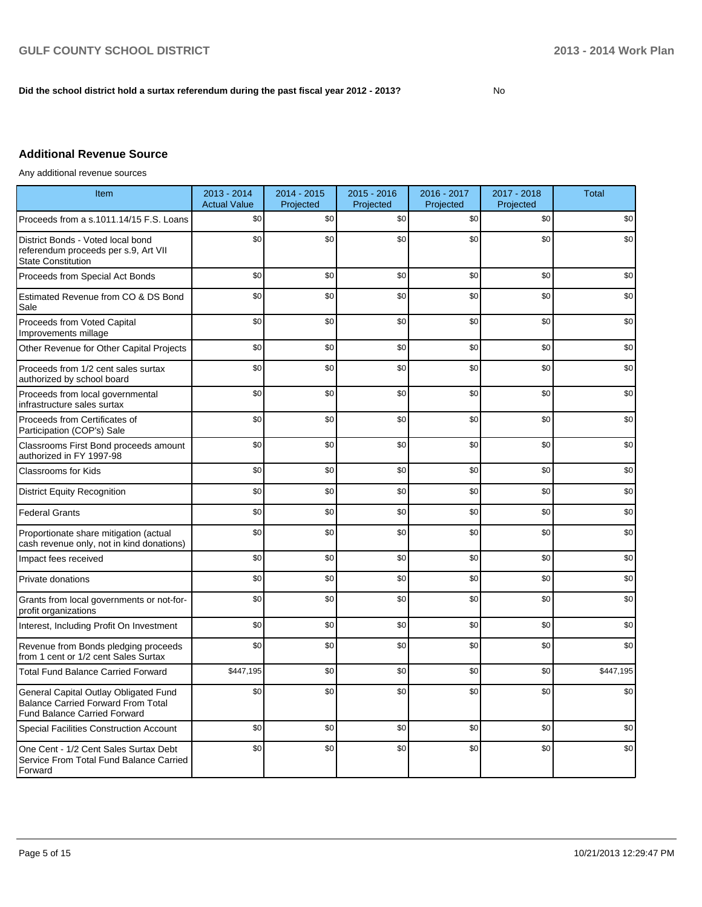## **Did the school district hold a surtax referendum during the past fiscal year 2012 - 2013?**

No

## **Additional Revenue Source**

Any additional revenue sources

| Item                                                                                                                      | 2013 - 2014<br><b>Actual Value</b> | 2014 - 2015<br>Projected | $2015 - 2016$<br>Projected | 2016 - 2017<br>Projected | 2017 - 2018<br>Projected | <b>Total</b> |
|---------------------------------------------------------------------------------------------------------------------------|------------------------------------|--------------------------|----------------------------|--------------------------|--------------------------|--------------|
| Proceeds from a s.1011.14/15 F.S. Loans                                                                                   | \$0                                | \$0                      | \$0                        | \$0                      | \$0                      | \$0          |
| District Bonds - Voted local bond<br>referendum proceeds per s.9, Art VII<br><b>State Constitution</b>                    | \$0                                | \$0                      | \$0                        | \$0                      | \$0                      | \$0          |
| Proceeds from Special Act Bonds                                                                                           | \$0                                | \$0                      | \$0                        | \$0                      | \$0                      | \$0          |
| Estimated Revenue from CO & DS Bond<br>Sale                                                                               | \$0                                | \$0                      | \$0                        | \$0                      | \$0                      | \$0          |
| Proceeds from Voted Capital<br>Improvements millage                                                                       | \$0                                | \$0                      | \$0                        | \$0                      | \$0                      | \$0          |
| Other Revenue for Other Capital Projects                                                                                  | \$0                                | \$0                      | \$0                        | \$0                      | \$0                      | \$0          |
| Proceeds from 1/2 cent sales surtax<br>authorized by school board                                                         | \$0                                | \$0                      | \$0                        | \$0                      | \$0                      | \$0          |
| Proceeds from local governmental<br>infrastructure sales surtax                                                           | \$0                                | \$0                      | \$0                        | \$0                      | \$0                      | \$0          |
| Proceeds from Certificates of<br>Participation (COP's) Sale                                                               | \$0                                | \$0                      | \$0                        | \$0                      | \$0                      | \$0          |
| Classrooms First Bond proceeds amount<br>authorized in FY 1997-98                                                         | \$0                                | \$0                      | \$0                        | \$0                      | \$0                      | \$0          |
| <b>Classrooms for Kids</b>                                                                                                | \$0                                | \$0                      | \$0                        | \$0                      | \$0                      | \$0          |
| <b>District Equity Recognition</b>                                                                                        | \$0                                | \$0                      | \$0                        | \$0                      | \$0                      | \$0          |
| <b>Federal Grants</b>                                                                                                     | \$0                                | \$0                      | \$0                        | \$0                      | \$0                      | \$0          |
| Proportionate share mitigation (actual<br>cash revenue only, not in kind donations)                                       | \$0                                | \$0                      | \$0                        | \$0                      | \$0                      | \$0          |
| Impact fees received                                                                                                      | \$0                                | \$0                      | \$0                        | \$0                      | \$0                      | \$0          |
| Private donations                                                                                                         | \$0                                | \$0                      | \$0                        | \$0                      | \$0                      | \$0          |
| Grants from local governments or not-for-<br>profit organizations                                                         | \$0                                | \$0                      | \$0                        | \$0                      | \$0                      | \$0          |
| Interest, Including Profit On Investment                                                                                  | \$0                                | \$0                      | \$0                        | \$0                      | \$0                      | \$0          |
| Revenue from Bonds pledging proceeds<br>from 1 cent or 1/2 cent Sales Surtax                                              | \$0                                | \$0                      | \$0                        | \$0                      | \$0                      | \$0          |
| <b>Total Fund Balance Carried Forward</b>                                                                                 | \$447,195                          | \$0                      | \$0                        | \$0                      | \$0                      | \$447,195    |
| General Capital Outlay Obligated Fund<br><b>Balance Carried Forward From Total</b><br><b>Fund Balance Carried Forward</b> | \$0                                | \$0                      | \$0                        | \$0                      | \$0                      | \$0          |
| <b>Special Facilities Construction Account</b>                                                                            | \$0                                | \$0                      | \$0                        | \$0                      | \$0                      | \$0          |
| One Cent - 1/2 Cent Sales Surtax Debt<br>Service From Total Fund Balance Carried<br>Forward                               | \$0                                | \$0                      | \$0                        | \$0                      | \$0                      | \$0          |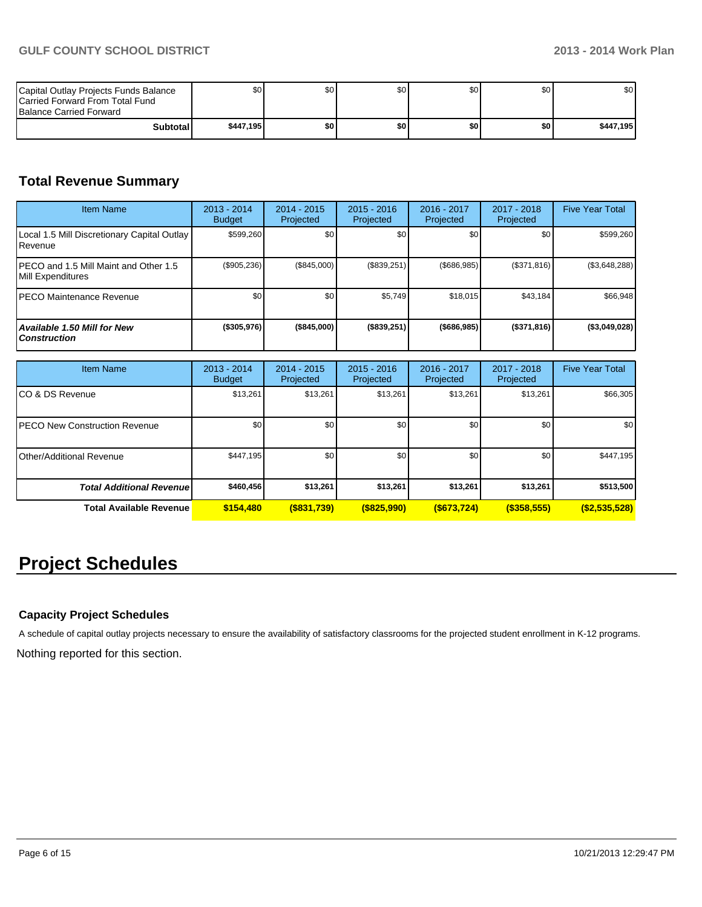| Capital Outlay Projects Funds Balance<br><b>ICarried Forward From Total Fund</b><br><b>Balance Carried Forward</b> | \$O I     | \$0 | \$0 | \$0 | \$0 | \$0       |
|--------------------------------------------------------------------------------------------------------------------|-----------|-----|-----|-----|-----|-----------|
| <b>Subtotal</b>                                                                                                    | \$447.195 | \$O | \$0 | \$0 | \$0 | \$447,195 |

## **Total Revenue Summary**

| <b>Item Name</b>                                           | 2013 - 2014<br><b>Budget</b> | 2014 - 2015<br>Projected | $2015 - 2016$<br>Projected | $2016 - 2017$<br>Projected | $2017 - 2018$<br>Projected | <b>Five Year Total</b> |
|------------------------------------------------------------|------------------------------|--------------------------|----------------------------|----------------------------|----------------------------|------------------------|
| Local 1.5 Mill Discretionary Capital Outlay<br>l Revenue   | \$599,260                    | \$0 <sub>1</sub>         | \$0                        | \$0 <sub>1</sub>           | \$0                        | \$599,260              |
| PECO and 1.5 Mill Maint and Other 1.5<br>Mill Expenditures | (\$905,236)                  | (\$845,000)              | (\$839,251)                | $($ \$686,985) $ $         | (\$371,816)                | (\$3,648,288)          |
| IPECO Maintenance Revenue                                  | \$0                          | \$0 <sub>1</sub>         | \$5,749                    | \$18.015                   | \$43,184                   | \$66,948               |
| Available 1.50 Mill for New<br><b>Construction</b>         | (\$305,976)                  | (\$845,000)              | (\$839,251)                | $($ \$686,985)             | (\$371,816)                | (\$3,049,028)          |

| <b>Item Name</b>                      | 2013 - 2014<br><b>Budget</b> | $2014 - 2015$<br>Projected | $2015 - 2016$<br>Projected | 2016 - 2017<br>Projected | 2017 - 2018<br>Projected | <b>Five Year Total</b> |
|---------------------------------------|------------------------------|----------------------------|----------------------------|--------------------------|--------------------------|------------------------|
| ICO & DS Revenue                      | \$13,261                     | \$13,261                   | \$13,261                   | \$13,261                 | \$13,261                 | \$66,305               |
| <b>IPECO New Construction Revenue</b> | \$0                          | \$0 <sub>1</sub>           | \$0                        | \$0                      | \$0                      | \$0                    |
| Other/Additional Revenue              | \$447,195                    | \$0                        | \$0                        | \$0                      | \$0 <sub>1</sub>         | \$447,195              |
| <b>Total Additional Revenuel</b>      | \$460,456                    | \$13,261                   | \$13,261                   | \$13,261                 | \$13,261                 | \$513,500              |
| <b>Total Available Revenue</b>        | \$154,480                    | $($ \$831,739)             | $($ \$825,990)             | $($ \$673,724)           | $($ \$358,555)           | $($ \$2,535,528)       |

## **Project Schedules**

## **Capacity Project Schedules**

A schedule of capital outlay projects necessary to ensure the availability of satisfactory classrooms for the projected student enrollment in K-12 programs.

Nothing reported for this section.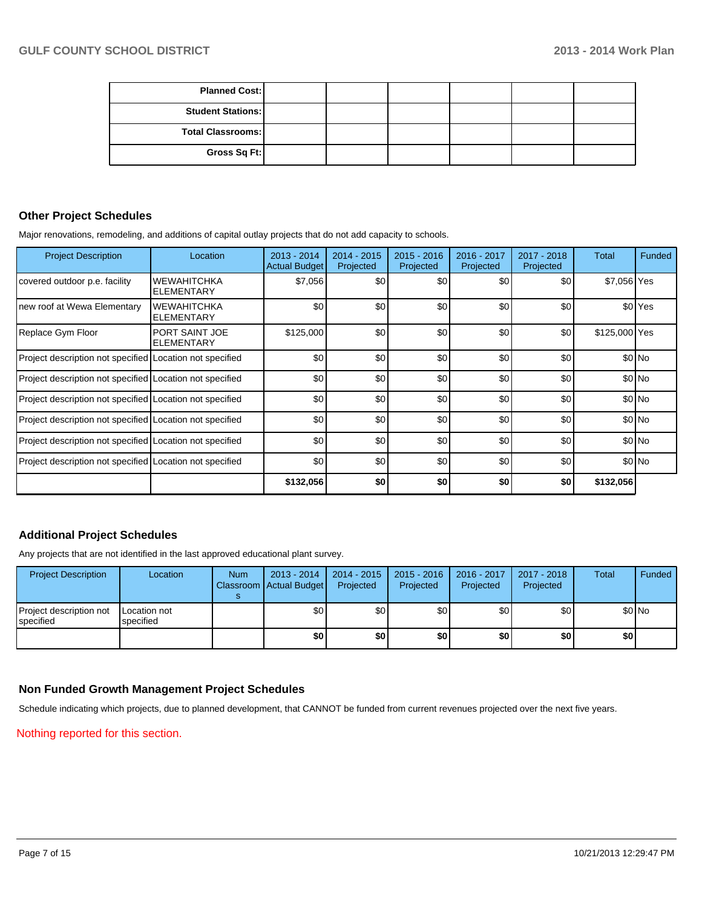| <b>Planned Cost:</b>     |  |  |  |
|--------------------------|--|--|--|
| <b>Student Stations:</b> |  |  |  |
| <b>Total Classrooms:</b> |  |  |  |
| Gross Sq Ft:             |  |  |  |

## **Other Project Schedules**

Major renovations, remodeling, and additions of capital outlay projects that do not add capacity to schools.

| <b>Project Description</b>                               | Location                                   | $2013 - 2014$<br><b>Actual Budget</b> | $2014 - 2015$<br>Projected | $2015 - 2016$<br>Projected | 2016 - 2017<br>Projected | 2017 - 2018<br>Projected | Total         | Funded             |
|----------------------------------------------------------|--------------------------------------------|---------------------------------------|----------------------------|----------------------------|--------------------------|--------------------------|---------------|--------------------|
| covered outdoor p.e. facility                            | <b>WEWAHITCHKA</b><br>ELEMENTARY           | \$7,056                               | \$0                        | \$0                        | \$0                      | \$0                      | \$7,056 Yes   |                    |
| new roof at Wewa Elementary                              | <b>WEWAHITCHKA</b><br>ELEMENTARY           | \$0                                   | \$0                        | \$0                        | \$0                      | \$0                      |               | \$0 <sup>Yes</sup> |
| Replace Gym Floor                                        | <b>PORT SAINT JOE</b><br><b>ELEMENTARY</b> | \$125,000                             | \$0                        | \$0                        | \$0                      | \$0                      | \$125,000 Yes |                    |
| Project description not specified Location not specified |                                            | \$0                                   | \$0                        | \$0                        | \$0                      | \$0                      |               | \$0 No             |
| Project description not specified Location not specified |                                            | \$0                                   | \$0                        | \$0                        | \$0                      | \$0                      |               | \$0 No             |
| Project description not specified Location not specified |                                            | \$0                                   | \$0                        | \$0                        | \$0                      | \$0                      |               | \$0 No             |
| Project description not specified Location not specified |                                            | \$0                                   | \$0                        | \$0                        | \$0                      | \$0                      |               | \$0 No             |
| Project description not specified Location not specified |                                            | \$0                                   | \$0                        | \$0                        | \$0                      | \$0                      |               | \$0 No             |
| Project description not specified Location not specified |                                            | \$0                                   | \$0                        | \$0                        | \$0                      | \$0                      |               | \$0 No             |
|                                                          |                                            | \$132,056                             | \$0                        | \$0                        | \$0                      | \$0                      | \$132,056     |                    |

## **Additional Project Schedules**

Any projects that are not identified in the last approved educational plant survey.

| <b>Project Description</b>           | Location                  | <b>Num</b> | 2013 - 2014<br>Classroom   Actual Budget | 2014 - 2015<br>Projected | $2015 - 2016$<br>Projected | 2016 - 2017<br>Projected | 2017 - 2018<br>Projected | Total | Funded |
|--------------------------------------|---------------------------|------------|------------------------------------------|--------------------------|----------------------------|--------------------------|--------------------------|-------|--------|
| Project description not<br>specified | Location not<br>specified |            | \$0                                      | \$0                      | \$0                        | \$0                      | \$0                      |       | \$0 No |
|                                      |                           |            | \$0                                      | \$0                      | \$0                        | \$0                      | \$0                      | \$0   |        |

## **Non Funded Growth Management Project Schedules**

Schedule indicating which projects, due to planned development, that CANNOT be funded from current revenues projected over the next five years.

Nothing reported for this section.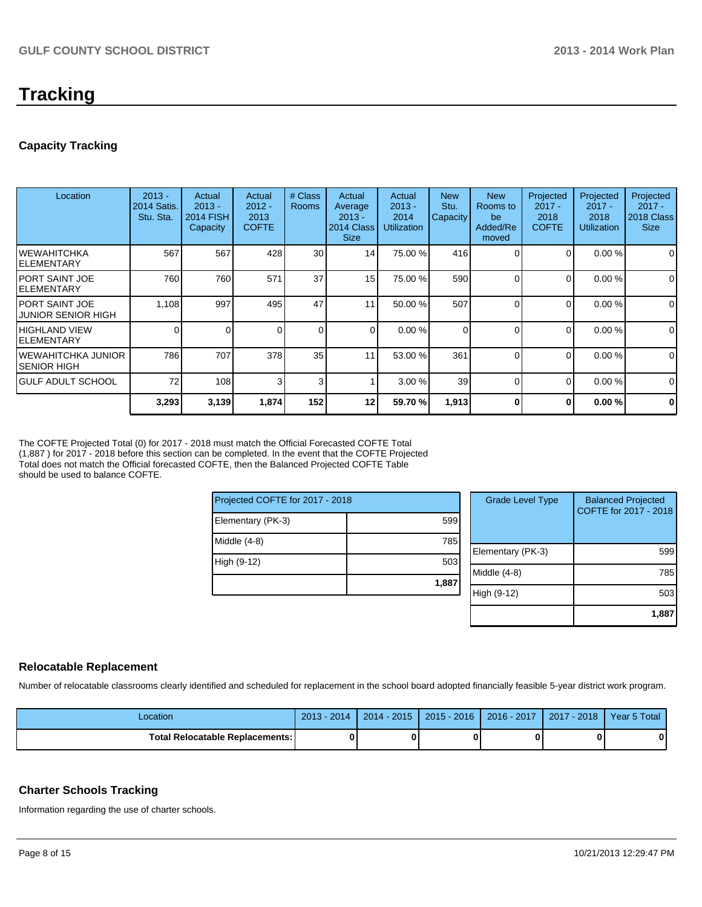## **Tracking**

## **Capacity Tracking**

| Location                               | $2013 -$<br><b>2014 Satis.</b><br>Stu. Sta. | Actual<br>$2013 -$<br><b>2014 FISH</b><br>Capacity | Actual<br>$2012 -$<br>2013<br><b>COFTE</b> | # Class<br><b>Rooms</b> | Actual<br>Average<br>$2013 -$<br>2014 Class<br><b>Size</b> | Actual<br>$2013 -$<br>2014<br><b>Utilization</b> | <b>New</b><br>Stu.<br>Capacity | <b>New</b><br>Rooms to<br>be<br>Added/Re<br>moved | Projected<br>$2017 -$<br>2018<br><b>COFTE</b> | Projected<br>$2017 -$<br>2018<br><b>Utilization</b> | Projected<br>$2017 -$<br>2018 Class<br><b>Size</b> |
|----------------------------------------|---------------------------------------------|----------------------------------------------------|--------------------------------------------|-------------------------|------------------------------------------------------------|--------------------------------------------------|--------------------------------|---------------------------------------------------|-----------------------------------------------|-----------------------------------------------------|----------------------------------------------------|
| IWEWAHITCHKA<br>IELEMENTARY            | 567                                         | 567                                                | 428                                        | 30                      | 14                                                         | 75.00 %                                          | 416                            |                                                   | $\Omega$                                      | 0.00%                                               | 0                                                  |
| IPORT SAINT JOE<br>IELEMENTARY         | 760                                         | 760                                                | 571                                        | 37                      | 15 <sup>1</sup>                                            | 75.00 %                                          | 590                            | $\Omega$                                          | $\Omega$                                      | 0.00%                                               | $\mathbf 0$                                        |
| IPORT SAINT JOE<br>IJUNIOR SENIOR HIGH | 1,108                                       | 997                                                | 495                                        | 47                      | 1                                                          | 50.00 %                                          | 507                            | $\Omega$                                          | 0                                             | 0.00%                                               | 0                                                  |
| IHIGHLAND VIEW<br>IELEMENTARY          | 0                                           |                                                    |                                            | $\Omega$                | $\Omega$                                                   | 0.00%                                            | $\Omega$                       | $\Omega$                                          | $\Omega$                                      | 0.00%                                               | $\mathbf 0$                                        |
| IWEWAHITCHKA JUNIOR<br>ISENIOR HIGH    | 786                                         | 707                                                | 378                                        | 35                      | 11                                                         | 53.00 %                                          | 361                            | $\Omega$                                          | $\Omega$                                      | 0.00%                                               | 0                                                  |
| IGULF ADULT SCHOOL                     | 72                                          | 108                                                | 3                                          | 3                       |                                                            | 3.00%                                            | 39                             | $\Omega$                                          | $\Omega$                                      | 0.00%                                               | $\Omega$                                           |
|                                        | 3,293                                       | 3,139                                              | 1,874                                      | 152                     | 12                                                         | 59.70 %                                          | 1,913                          | 0                                                 | 0                                             | 0.00%                                               | $\mathbf 0$                                        |

The COFTE Projected Total (0) for 2017 - 2018 must match the Official Forecasted COFTE Total (1,887 ) for 2017 - 2018 before this section can be completed. In the event that the COFTE Projected Total does not match the Official forecasted COFTE, then the Balanced Projected COFTE Table should be used to balance COFTE.

| Projected COFTE for 2017 - 2018 |       |  |  |  |  |
|---------------------------------|-------|--|--|--|--|
| Elementary (PK-3)               | 599   |  |  |  |  |
| Middle (4-8)                    | 785   |  |  |  |  |
| High (9-12)                     | 503   |  |  |  |  |
|                                 | 1,887 |  |  |  |  |

| <b>Grade Level Type</b> | <b>Balanced Projected</b><br>COFTE for 2017 - 2018 |
|-------------------------|----------------------------------------------------|
| Elementary (PK-3)       | 599                                                |
| Middle (4-8)            | 785                                                |
| High (9-12)             | 503                                                |
|                         | 1,88                                               |

## **Relocatable Replacement**

Number of relocatable classrooms clearly identified and scheduled for replacement in the school board adopted financially feasible 5-year district work program.

| Location                                 | 2013<br>2014 | $-2015$<br>$2014 -$ | $2015 - 2016$ | 2016 - 2017 | $-2018$<br>2017 | Year 5 Total |
|------------------------------------------|--------------|---------------------|---------------|-------------|-----------------|--------------|
| <b>Total Relocatable Replacements: I</b> |              |                     |               |             |                 | 0            |

### **Charter Schools Tracking**

Information regarding the use of charter schools.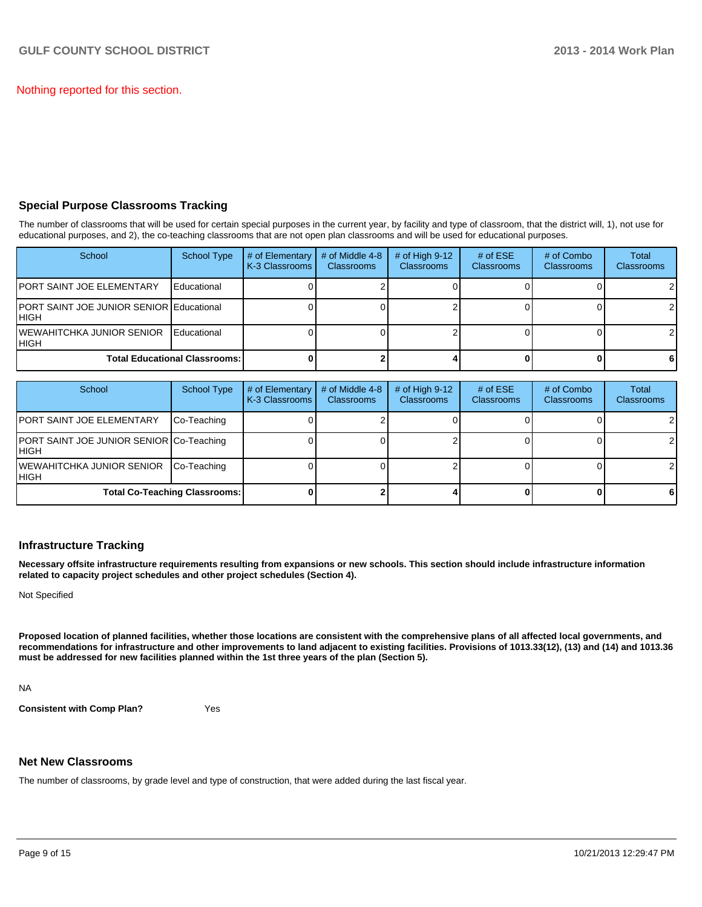Nothing reported for this section.

## **Special Purpose Classrooms Tracking**

The number of classrooms that will be used for certain special purposes in the current year, by facility and type of classroom, that the district will, 1), not use for educational purposes, and 2), the co-teaching classrooms that are not open plan classrooms and will be used for educational purposes.

| School                                            | <b>School Type</b>                   | # of Elementary<br>K-3 Classrooms | # of Middle 4-8<br><b>Classrooms</b> | $#$ of High 9-12<br><b>Classrooms</b> | # of $ESE$<br><b>Classrooms</b> | # of Combo<br>Classrooms | Total<br><b>Classrooms</b> |
|---------------------------------------------------|--------------------------------------|-----------------------------------|--------------------------------------|---------------------------------------|---------------------------------|--------------------------|----------------------------|
| IPORT SAINT JOE ELEMENTARY                        | Educational                          |                                   |                                      |                                       |                                 |                          |                            |
| PORT SAINT JOE JUNIOR SENIOR Educational<br>IHIGH |                                      |                                   |                                      |                                       |                                 |                          | $\overline{2}$             |
| IWEWAHITCHKA JUNIOR SENIOR<br>IHIGH               | Educational                          |                                   |                                      |                                       |                                 |                          | $\mathcal{P}$              |
|                                                   | <b>Total Educational Classrooms:</b> |                                   |                                      |                                       |                                 |                          | -61                        |

| School                                            | <b>School Type</b>                   | # of Elementary<br>K-3 Classrooms | # of Middle 4-8<br><b>Classrooms</b> | # of High $9-12$<br><b>Classrooms</b> | # of $ESE$<br>Classrooms | # of Combo<br><b>Classrooms</b> | <b>Total</b><br><b>Classrooms</b> |
|---------------------------------------------------|--------------------------------------|-----------------------------------|--------------------------------------|---------------------------------------|--------------------------|---------------------------------|-----------------------------------|
| <b>PORT SAINT JOE ELEMENTARY</b>                  | Co-Teaching                          |                                   |                                      |                                       |                          |                                 |                                   |
| PORT SAINT JOE JUNIOR SENIOR Co-Teaching<br>IHIGH |                                      |                                   |                                      |                                       |                          |                                 | $\mathcal{P}$                     |
| <b>IWEWAHITCHKA JUNIOR SENIOR</b><br>IHIGH        | Co-Teaching                          |                                   |                                      |                                       |                          |                                 |                                   |
|                                                   | <b>Total Co-Teaching Classrooms:</b> |                                   |                                      |                                       |                          |                                 | 61                                |

## **Infrastructure Tracking**

**Necessary offsite infrastructure requirements resulting from expansions or new schools. This section should include infrastructure information related to capacity project schedules and other project schedules (Section 4).**

Not Specified

**Proposed location of planned facilities, whether those locations are consistent with the comprehensive plans of all affected local governments, and recommendations for infrastructure and other improvements to land adjacent to existing facilities. Provisions of 1013.33(12), (13) and (14) and 1013.36 must be addressed for new facilities planned within the 1st three years of the plan (Section 5).**

NA

**Consistent with Comp Plan?** Yes

### **Net New Classrooms**

The number of classrooms, by grade level and type of construction, that were added during the last fiscal year.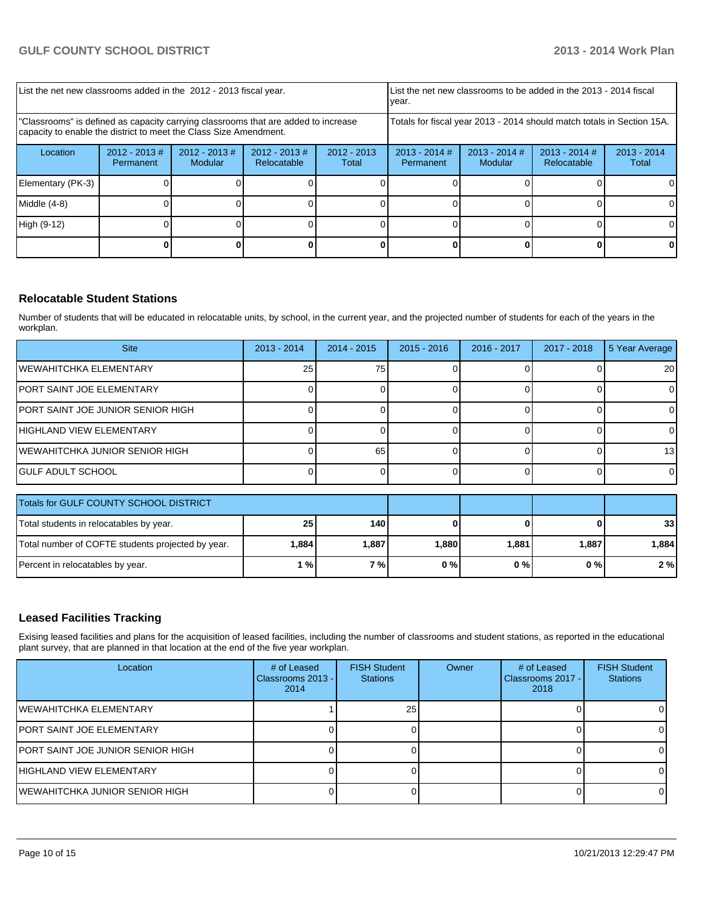| List the net new classrooms added in the 2012 - 2013 fiscal year.                                                                                       |                              |                            |                                | List the net new classrooms to be added in the 2013 - 2014 fiscal<br>vear. |                                                                                                               |  |  |    |
|---------------------------------------------------------------------------------------------------------------------------------------------------------|------------------------------|----------------------------|--------------------------------|----------------------------------------------------------------------------|---------------------------------------------------------------------------------------------------------------|--|--|----|
| "Classrooms" is defined as capacity carrying classrooms that are added to increase<br>capacity to enable the district to meet the Class Size Amendment. |                              |                            |                                |                                                                            | Totals for fiscal year 2013 - 2014 should match totals in Section 15A.                                        |  |  |    |
| Location                                                                                                                                                | $2012 - 2013$ #<br>Permanent | $2012 - 2013$ #<br>Modular | $2012 - 2013$ #<br>Relocatable | $2012 - 2013$<br>Total                                                     | $2013 - 2014$ #<br>$2013 - 2014$ #<br>$2013 - 2014$ #<br>$2013 - 2014$<br>Modular<br>Relocatable<br>Permanent |  |  |    |
| Elementary (PK-3)                                                                                                                                       |                              |                            |                                |                                                                            |                                                                                                               |  |  |    |
| Middle (4-8)                                                                                                                                            |                              |                            |                                |                                                                            |                                                                                                               |  |  | ΟI |
| High (9-12)                                                                                                                                             |                              |                            |                                |                                                                            |                                                                                                               |  |  | O. |
|                                                                                                                                                         |                              |                            |                                |                                                                            |                                                                                                               |  |  |    |

## **Relocatable Student Stations**

Number of students that will be educated in relocatable units, by school, in the current year, and the projected number of students for each of the years in the workplan.

| <b>Site</b>                       | $2013 - 2014$ | $2014 - 2015$ | $2015 - 2016$ | 2016 - 2017 | 2017 - 2018 | 5 Year Average  |
|-----------------------------------|---------------|---------------|---------------|-------------|-------------|-----------------|
| <b>WEWAHITCHKA ELEMENTARY</b>     | 25            | 75            |               |             |             | 20 <sub>l</sub> |
| <b>PORT SAINT JOE ELEMENTARY</b>  |               |               |               |             |             |                 |
| PORT SAINT JOE JUNIOR SENIOR HIGH |               |               |               |             |             |                 |
| IHIGHLAND VIEW ELEMENTARY         |               |               |               |             |             |                 |
| IWEWAHITCHKA JUNIOR SENIOR HIGH   |               | 65            |               |             |             | 13 <sup>1</sup> |
| <b>IGULF ADULT SCHOOL</b>         |               |               |               |             |             |                 |
| 1200 - 1200 - 1200 - 1210 - 1211  |               |               |               |             |             |                 |

| Totals for GULF COUNTY SCHOOL DISTRICT            |                 |       |       |       |       |                 |
|---------------------------------------------------|-----------------|-------|-------|-------|-------|-----------------|
| Total students in relocatables by year.           | 25 <sub>1</sub> | 140   |       |       |       | 33 <sub>1</sub> |
| Total number of COFTE students projected by year. | 884. ا          | 1.887 | 1.880 | 1.881 | 1.887 | 1.884 I         |
| Percent in relocatables by year.                  | 1 % I           | 7 % I | $0\%$ | 0 % I | 0%    | 2%              |

## **Leased Facilities Tracking**

Exising leased facilities and plans for the acquisition of leased facilities, including the number of classrooms and student stations, as reported in the educational plant survey, that are planned in that location at the end of the five year workplan.

| Location                           | # of Leased<br>Classrooms 2013 - I<br>2014 | <b>FISH Student</b><br><b>Stations</b> | Owner | # of Leased<br>  Classrooms 2017 - I<br>2018 | <b>FISH Student</b><br><b>Stations</b> |
|------------------------------------|--------------------------------------------|----------------------------------------|-------|----------------------------------------------|----------------------------------------|
| lWEWAHITCHKA ELEMENTARY            |                                            | 25 <sub>l</sub>                        |       |                                              |                                        |
| IPORT SAINT JOE ELEMENTARY         |                                            |                                        |       |                                              |                                        |
| IPORT SAINT JOE JUNIOR SENIOR HIGH |                                            |                                        |       |                                              |                                        |
| IHIGHLAND VIEW ELEMENTARY          |                                            |                                        |       |                                              |                                        |
| IWEWAHITCHKA JUNIOR SENIOR HIGH    |                                            |                                        |       |                                              |                                        |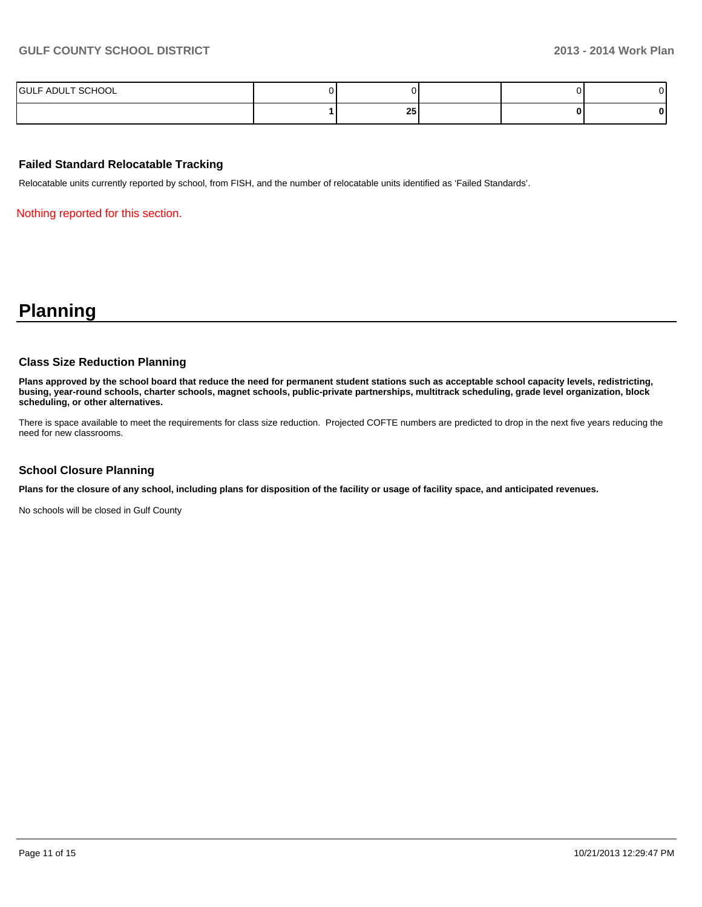| SCHOOL<br><b>IGULF ADUL</b><br>. |          |  |  |
|----------------------------------|----------|--|--|
|                                  | oг<br>ΖJ |  |  |

## **Failed Standard Relocatable Tracking**

Relocatable units currently reported by school, from FISH, and the number of relocatable units identified as 'Failed Standards'.

Nothing reported for this section.

## **Planning**

#### **Class Size Reduction Planning**

**Plans approved by the school board that reduce the need for permanent student stations such as acceptable school capacity levels, redistricting, busing, year-round schools, charter schools, magnet schools, public-private partnerships, multitrack scheduling, grade level organization, block scheduling, or other alternatives.**

There is space available to meet the requirements for class size reduction. Projected COFTE numbers are predicted to drop in the next five years reducing the need for new classrooms.

### **School Closure Planning**

**Plans for the closure of any school, including plans for disposition of the facility or usage of facility space, and anticipated revenues.**

No schools will be closed in Gulf County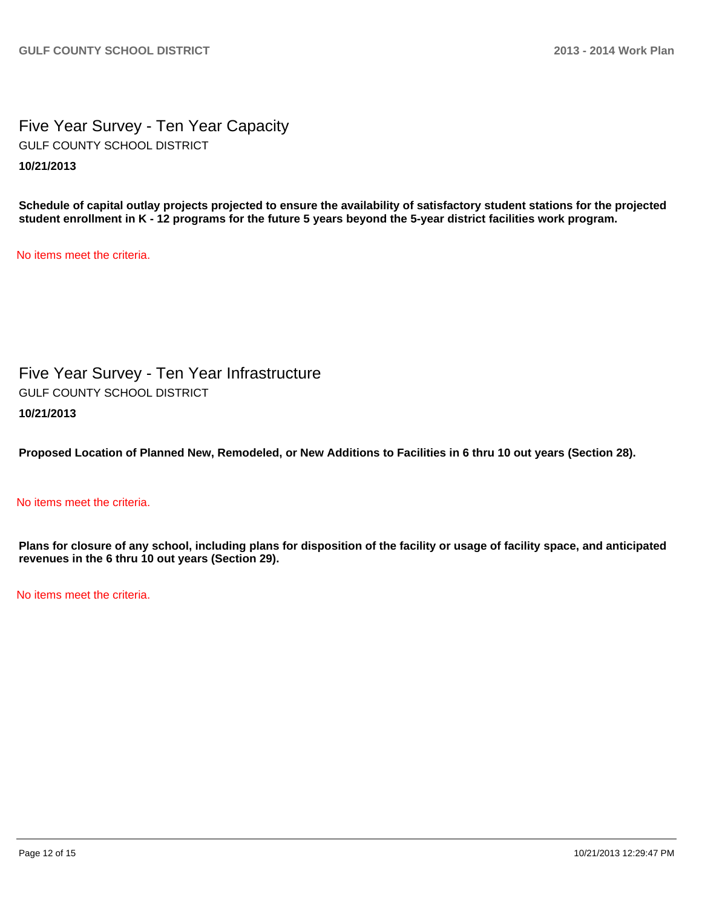Five Year Survey - Ten Year Capacity **10/21/2013** GULF COUNTY SCHOOL DISTRICT

**Schedule of capital outlay projects projected to ensure the availability of satisfactory student stations for the projected student enrollment in K - 12 programs for the future 5 years beyond the 5-year district facilities work program.**

No items meet the criteria.

Five Year Survey - Ten Year Infrastructure **10/21/2013** GULF COUNTY SCHOOL DISTRICT

**Proposed Location of Planned New, Remodeled, or New Additions to Facilities in 6 thru 10 out years (Section 28).**

## No items meet the criteria.

**Plans for closure of any school, including plans for disposition of the facility or usage of facility space, and anticipated revenues in the 6 thru 10 out years (Section 29).**

No items meet the criteria.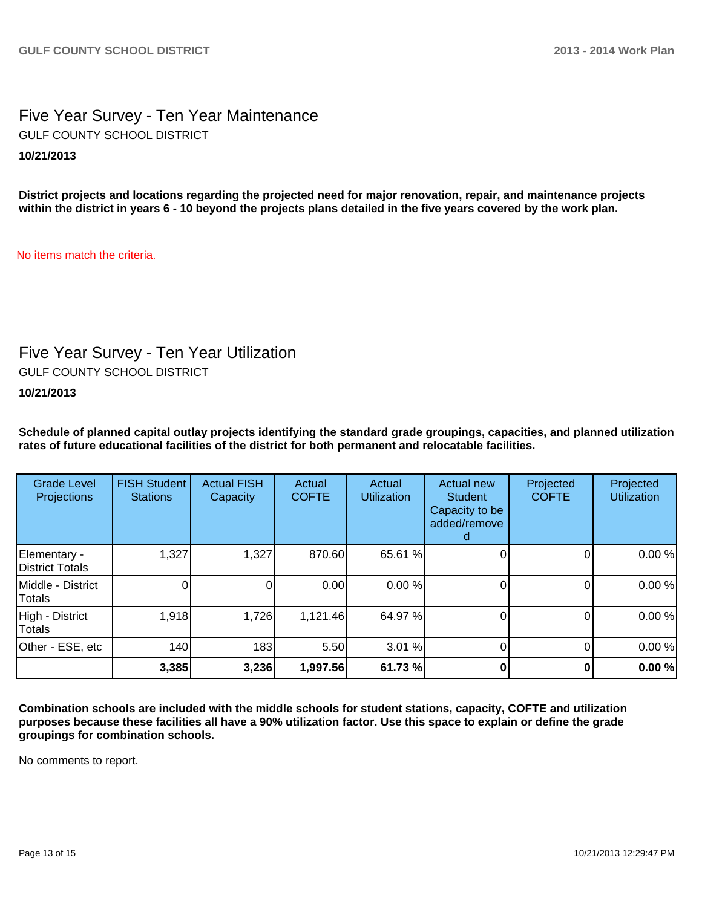## Five Year Survey - Ten Year Maintenance **10/21/2013** GULF COUNTY SCHOOL DISTRICT

**District projects and locations regarding the projected need for major renovation, repair, and maintenance projects within the district in years 6 - 10 beyond the projects plans detailed in the five years covered by the work plan.**

No items match the criteria.

## Five Year Survey - Ten Year Utilization

GULF COUNTY SCHOOL DISTRICT

**10/21/2013**

**Schedule of planned capital outlay projects identifying the standard grade groupings, capacities, and planned utilization rates of future educational facilities of the district for both permanent and relocatable facilities.**

| <b>Grade Level</b><br>Projections | <b>FISH Student</b><br><b>Stations</b> | <b>Actual FISH</b><br>Capacity | Actual<br><b>COFTE</b> | Actual<br><b>Utilization</b> | Actual new<br><b>Student</b><br>Capacity to be<br>added/remove | Projected<br><b>COFTE</b> | Projected<br><b>Utilization</b> |
|-----------------------------------|----------------------------------------|--------------------------------|------------------------|------------------------------|----------------------------------------------------------------|---------------------------|---------------------------------|
| Elementary -<br>District Totals   | 1,327                                  | 1,327                          | 870.60                 | 65.61 %                      |                                                                |                           | 0.00%                           |
| Middle - District<br>Totals       |                                        | 0                              | 0.00                   | 0.00%                        |                                                                |                           | 0.00%                           |
| High - District<br><b>Totals</b>  | 1,918                                  | 1,726                          | 1,121.46               | 64.97%                       |                                                                |                           | 0.00%                           |
| Other - ESE, etc                  | 140                                    | 183                            | 5.50                   | 3.01 %                       |                                                                |                           | 0.00%                           |
|                                   | 3,385                                  | 3,236                          | 1,997.56               | 61.73 %                      |                                                                |                           | 0.00%                           |

**Combination schools are included with the middle schools for student stations, capacity, COFTE and utilization purposes because these facilities all have a 90% utilization factor. Use this space to explain or define the grade groupings for combination schools.**

No comments to report.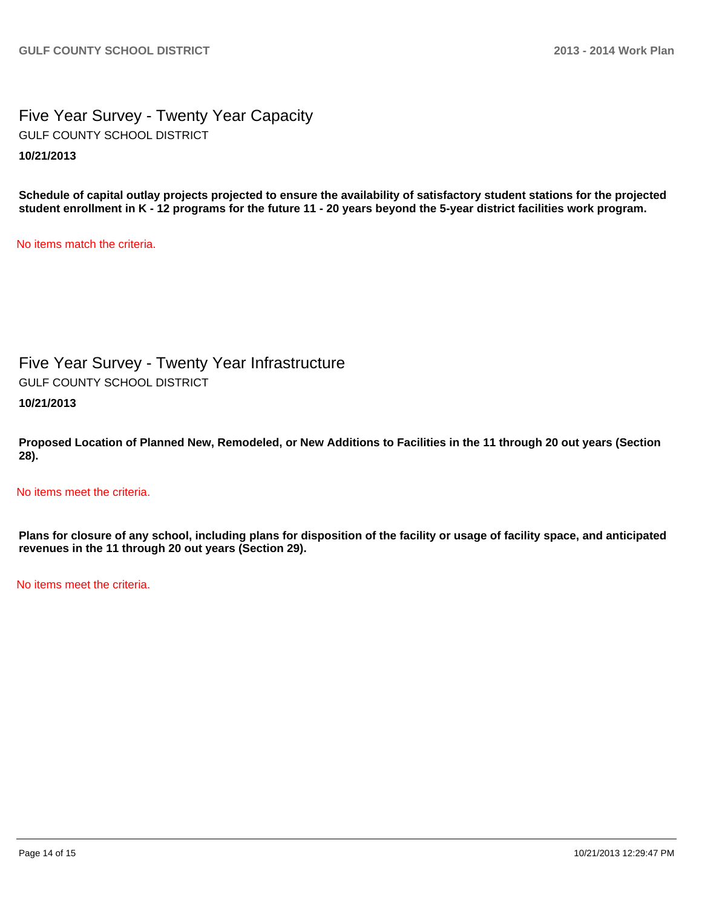## Five Year Survey - Twenty Year Capacity **10/21/2013** GULF COUNTY SCHOOL DISTRICT

**Schedule of capital outlay projects projected to ensure the availability of satisfactory student stations for the projected student enrollment in K - 12 programs for the future 11 - 20 years beyond the 5-year district facilities work program.**

No items match the criteria.

Five Year Survey - Twenty Year Infrastructure GULF COUNTY SCHOOL DISTRICT

**10/21/2013**

**Proposed Location of Planned New, Remodeled, or New Additions to Facilities in the 11 through 20 out years (Section 28).**

No items meet the criteria.

**Plans for closure of any school, including plans for disposition of the facility or usage of facility space, and anticipated revenues in the 11 through 20 out years (Section 29).**

No items meet the criteria.